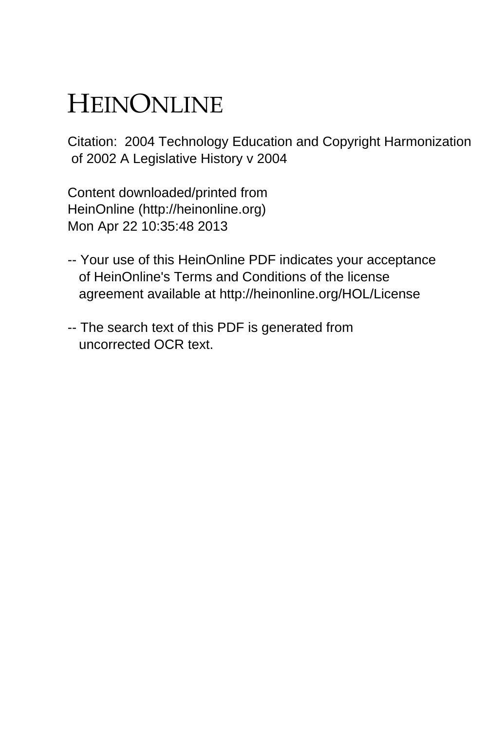## HEINONLINE

Citation: 2004 Technology Education and Copyright Harmonization of 2002 A Legislative History v 2004

Content downloaded/printed from HeinOnline (http://heinonline.org) Mon Apr 22 10:35:48 2013

- -- Your use of this HeinOnline PDF indicates your acceptance of HeinOnline's Terms and Conditions of the license agreement available at http://heinonline.org/HOL/License
- -- The search text of this PDF is generated from uncorrected OCR text.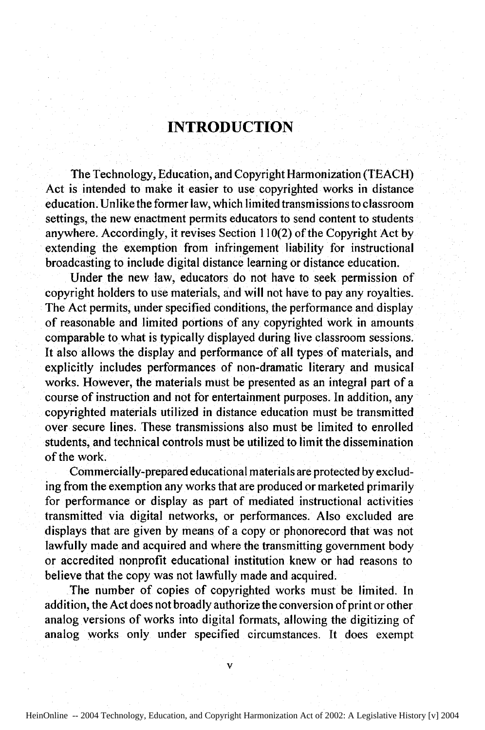## **INTRODUCTION**

The Technology, Education, and Copyright Harmonization (TEACH) Act is intended to make it easier to use copyrighted works in distance education. Unlike the former law, which limited transmissions to classroom settings, the new enactment permits educators to send content to students anywhere. Accordingly, it revises Section 110(2) of the Copyright Act by extending the exemption from infringement liability for instructional broadcasting to include digital distance learning or distance education.

Under the new law, educators do not have to seek permission of copyright holders to use materials, and will not have to pay any royalties. The Act permits, under specified conditions, the performance and display of reasonable and limited portions of any copyrighted work in amounts comparable to what is typically displayed during live classroom sessions. It also allows the display and performance of all types of materials, and explicitly includes performances of non-dramatic literary and musical works. However, the materials must be presented as an integral part of a course of instruction and not for entertainment purposes. In addition, any copyrighted materials utilized in distance education must **be** transmitted over secure lines. These transmissions also must be limited to enrolled students, and technical controls must be utilized to limit the dissemination of the work.

Commercially-prepared educational materials are protected by excluding from the exemption any works that are produced or marketed primarily for performance or display as part of mediated instructional activities transmitted via digital networks, or performances. Also excluded are displays that are given by means of a copy or phonorecord that was not lawfully made and acquired and where the transmitting government body or accredited nonprofit educational institution knew or had reasons to believe that the copy was not lawfully made and acquired.

The number of copies of copyrighted works must be limited. In addition, the Act does not broadly authorize the conversion of print or other analog versions of works into digital formats, allowing the digitizing of analog works only under specified circumstances. It does exempt